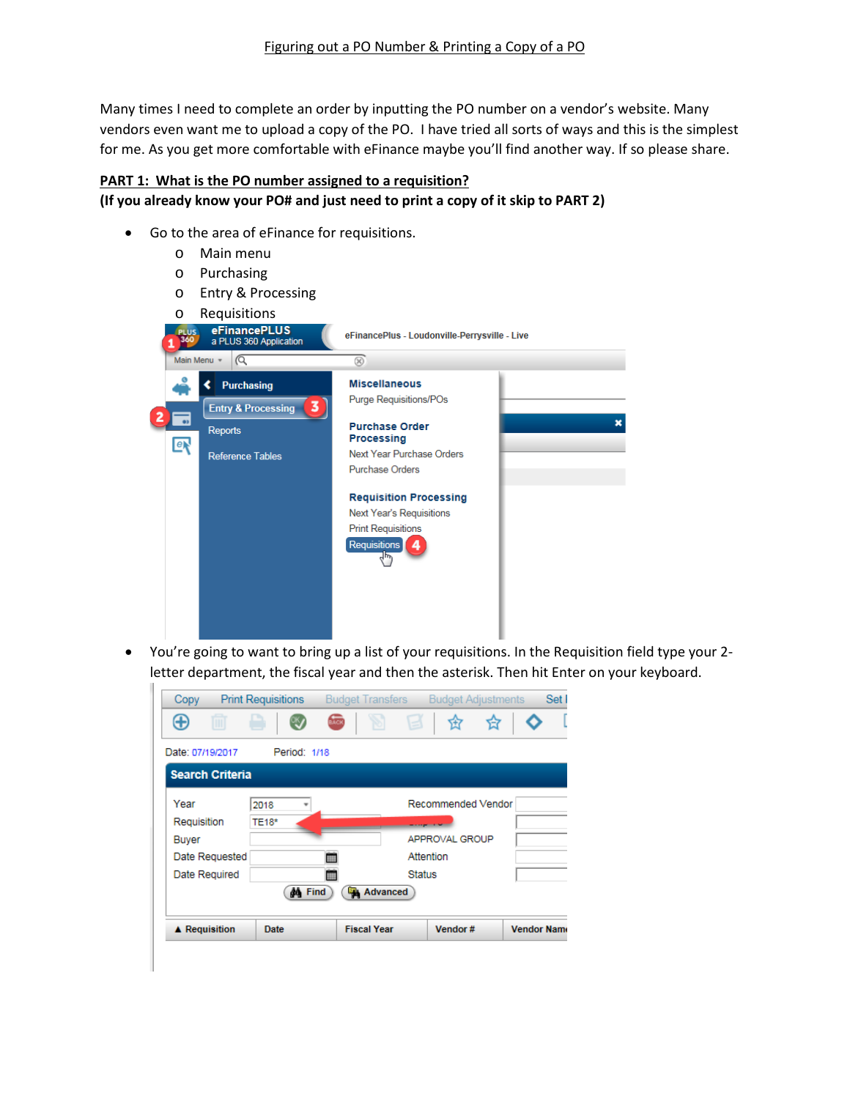Many times I need to complete an order by inputting the PO number on a vendor's website. Many vendors even want me to upload a copy of the PO. I have tried all sorts of ways and this is the simplest for me. As you get more comfortable with eFinance maybe you'll find another way. If so please share.

## **PART 1: What is the PO number assigned to a requisition?**

## **(If you already know your PO# and just need to print a copy of it skip to PART 2)**

- Go to the area of eFinance for requisitions.
	- o Main menu
	- o Purchasing
	- o Entry & Processing
	-



• You're going to want to bring up a list of your requisitions. In the Requisition field type your 2 letter department, the fiscal year and then the asterisk. Then hit Enter on your keyboard.

| Copy                   | <b>Print Requisitions</b> | <b>Budget Transfers</b> |               | <b>Budget Adjustments</b> | Set                |
|------------------------|---------------------------|-------------------------|---------------|---------------------------|--------------------|
| ⊕                      |                           | $rac{1}{2\sqrt{2}}$     | e             | 岔                         |                    |
| Date: 07/19/2017       | Period: 1/18              |                         |               |                           |                    |
| <b>Search Criteria</b> |                           |                         |               |                           |                    |
| Year                   | 2018                      |                         |               | Recommended Vendor        |                    |
| Requisition            | <b>TE18*</b>              |                         |               |                           |                    |
| Buyer                  |                           |                         |               | APPROVAL GROUP            |                    |
| Date Requested         |                           |                         | Attention     |                           |                    |
| Date Required          |                           |                         | <b>Status</b> |                           |                    |
|                        | <b>AA</b> Find            | <b>Advanced</b>         |               |                           |                    |
| <b>▲ Requisition</b>   | Date                      | <b>Fiscal Year</b>      |               | Vendor#                   | <b>Vendor Name</b> |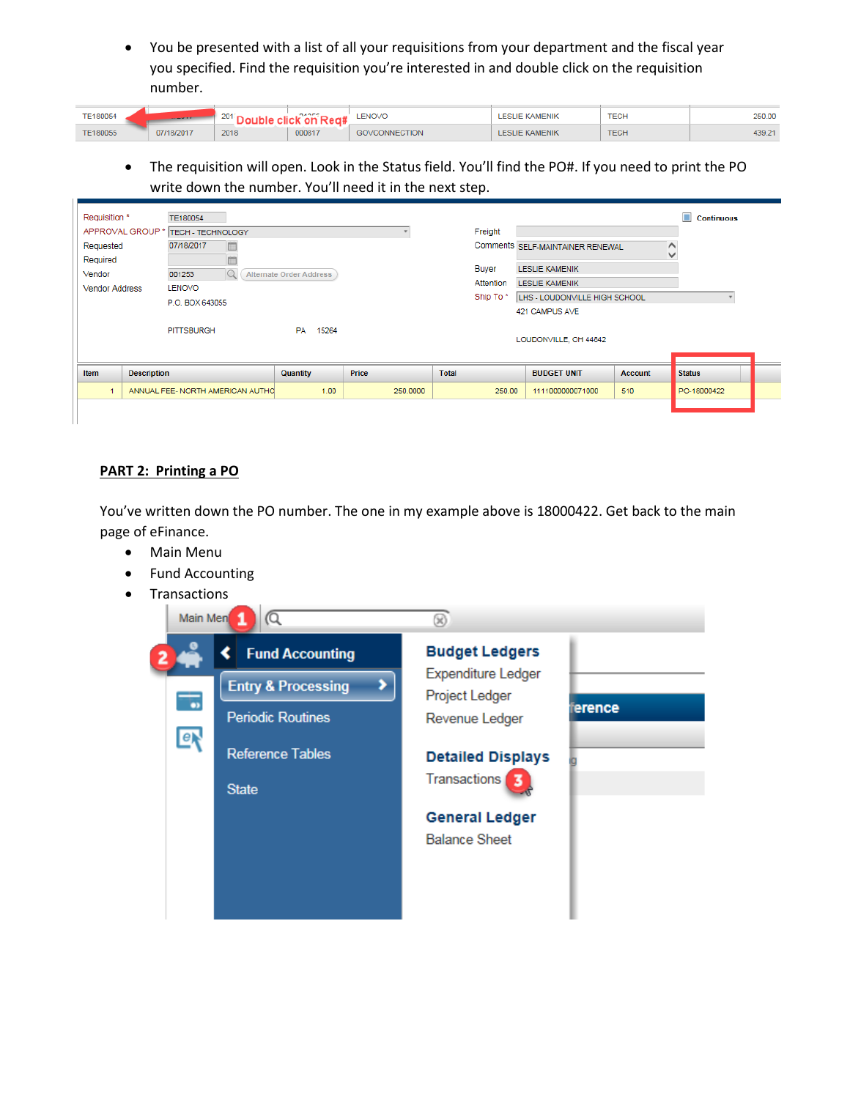• You be presented with a list of all your requisitions from your department and the fiscal year you specified. Find the requisition you're interested in and double click on the requisition number.

| TE180054 |            | COL 41<br>2U I | nance  | LENOVO                 | <b>IF KAMENIK</b><br>FSI<br>WENII | <b>TECH</b> | 250.00 |
|----------|------------|----------------|--------|------------------------|-----------------------------------|-------------|--------|
| TE180055 | 07/18/2017 | 2018           | 000817 | NECTION<br><b>DOM:</b> | LESLIE KAMENIK                    | <b>TECH</b> | 439.21 |

• The requisition will open. Look in the Status field. You'll find the PO#. If you need to print the PO write down the number. You'll need it in the next step.

| Requisition *                     | TE180054                         |                                |          |              |                                         |                | <b>Continuous</b> |
|-----------------------------------|----------------------------------|--------------------------------|----------|--------------|-----------------------------------------|----------------|-------------------|
| APPROVAL GROUP *                  | <b>TECH - TECHNOLOGY</b>         |                                |          | Freight      |                                         |                |                   |
| Requested<br>Required             | 07/18/2017<br><b>Fill</b>        |                                |          |              | Comments SELF-MAINTAINER RENEWAL        | $\checkmark$   |                   |
| Vendor                            | 001253                           | <b>Alternate Order Address</b> |          | Buyer        | <b>LESLIE KAMENIK</b>                   |                |                   |
| <b>Vendor Address</b>             | <b>LENOVO</b>                    |                                |          | Attention    | <b>LESLIE KAMENIK</b>                   |                |                   |
|                                   | P.O. BOX 643055                  |                                |          | Ship To*     | LHS - LOUDONVILLE HIGH SCHOOL           |                |                   |
|                                   | <b>PITTSBURGH</b>                | PA 15264                       |          |              | 421 CAMPUS AVE<br>LOUDONVILLE, OH 44842 |                |                   |
|                                   |                                  |                                |          |              |                                         |                |                   |
| <b>Item</b><br><b>Description</b> |                                  | <b>Quantity</b>                | Price    | <b>Total</b> | <b>BUDGET UNIT</b>                      | <b>Account</b> | <b>Status</b>     |
|                                   | ANNUAL FEE- NORTH AMERICAN AUTHO | 1.00                           | 250,0000 | 250.00       | 1111000000071000                        | 510            | PO-18000422       |
|                                   |                                  |                                |          |              |                                         |                |                   |

## **PART 2: Printing a PO**

You've written down the PO number. The one in my example above is 18000422. Get back to the main page of eFinance.

- Main Menu
- Fund Accounting
- Transactions

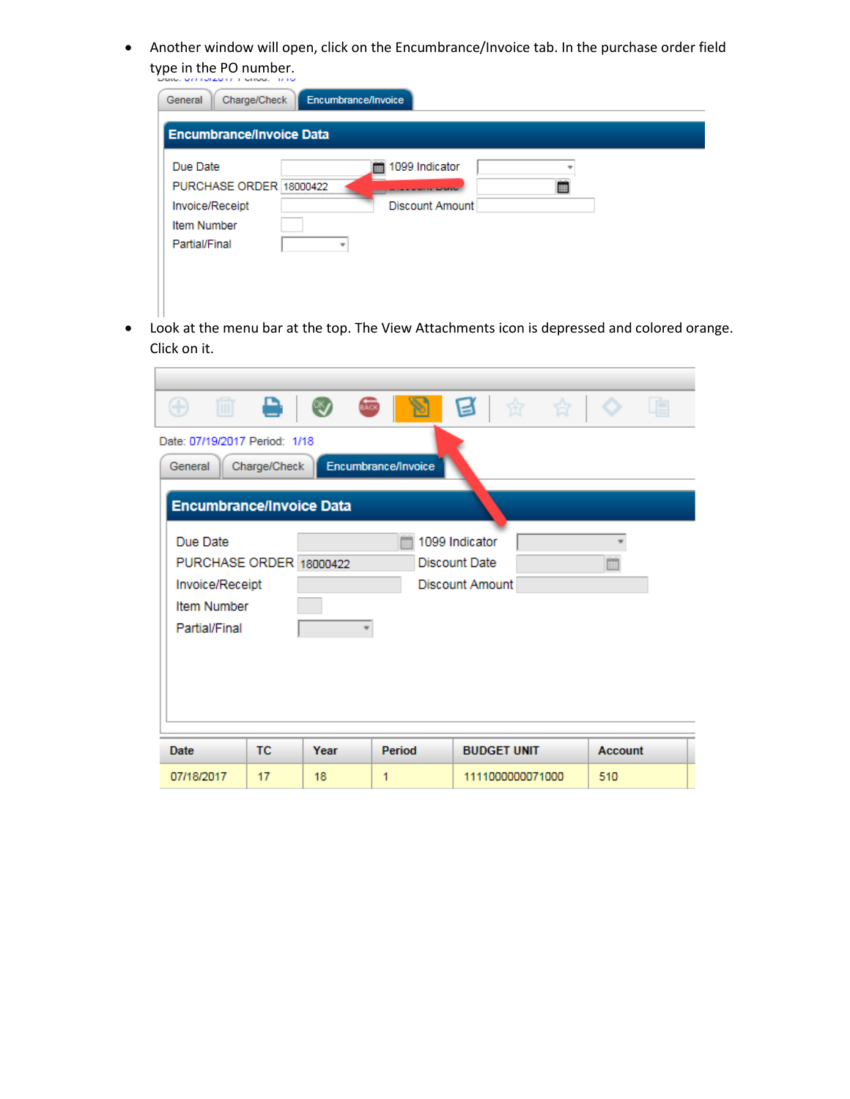• Another window will open, click on the Encumbrance/Invoice tab. In the purchase order field type in the PO number.

| Due Date                | m | 1099 Indicator         |   |  |
|-------------------------|---|------------------------|---|--|
| PURCHASE ORDER 18000422 |   | <b>MARINE MODERNIE</b> | 田 |  |
| Invoice/Receipt         |   | Discount Amount        |   |  |
| <b>Item Number</b>      |   |                        |   |  |
| Partial/Final           | ٠ |                        |   |  |

• Look at the menu bar at the top. The View Attachments icon is depressed and colored orange. Click on it.

| e.<br>侕<br>☆ ☆<br><b>BACK</b><br>⊛<br>$\blacksquare$<br>N                                                                                                         |     |      |        |                    |  |                |
|-------------------------------------------------------------------------------------------------------------------------------------------------------------------|-----|------|--------|--------------------|--|----------------|
| Date: 07/19/2017 Period: 1/18<br>Encumbrance/Invoice<br>Charge/Check<br>General<br><b>Encumbrance/Invoice Data</b>                                                |     |      |        |                    |  |                |
| Due Date<br>1099 Indicator<br>PURCHASE ORDER 18000422<br>Discount Date<br><b>Discount Amount</b><br>Invoice/Receipt<br><b>Item Number</b><br><b>Partial/Final</b> |     |      |        |                    |  |                |
| Date                                                                                                                                                              | TC. | Year | Period | <b>BUDGET UNIT</b> |  | <b>Account</b> |
| 07/18/2017                                                                                                                                                        | 17  | 18   | 1      | 1111000000071000   |  | 510            |